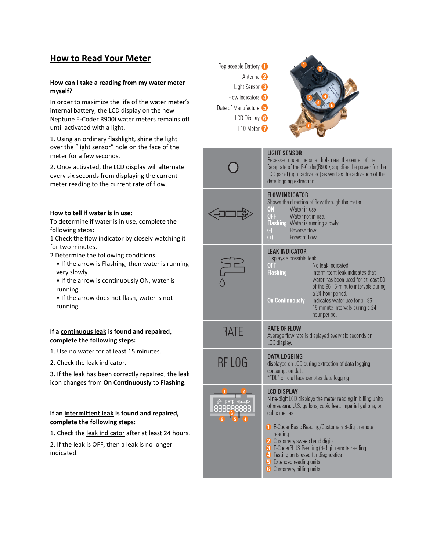# **How to Read Your Meter**

#### **How can I take a reading from my water meter myself?**

In order to maximize the life of the water meter's internal battery, the LCD display on the new Neptune E-Coder R900i water meters remains off until activated with a light.

1. Using an ordinary flashlight, shine the light over the "light sensor" hole on the face of the meter for a few seconds.

2. Once activated, the LCD display will alternate every six seconds from displaying the current meter reading to the current rate of flow.



To determine if water is in use, complete the following steps:

1 Check the flow indicator by closely watching it for two minutes.

2 Determine the following conditions:

- If the arrow is Flashing, then water is running very slowly.
- If the arrow is continuously ON, water is running.
- If the arrow does not flash, water is not running.

## **If a continuous leak is found and repaired, complete the following steps:**

- 1. Use no water for at least 15 minutes.
- 2. Check the leak indicator.

3. If the leak has been correctly repaired, the leak icon changes from **On Continuously** to **Flashing**.

## **If an intermittent leak is found and repaired, complete the following steps:**

1. Check the leak indicator after at least 24 hours.

2. If the leak is OFF, then a leak is no longer indicated.





|             | <b>LIGHT SENSOR</b><br>Recessed under the small hole near the center of the<br>faceplate of the E-Coder)R900i, supplies the power for the<br>LCD panel (light activated) as well as the activation of the<br>data logging extraction.                                                                                                                                                                                   |
|-------------|-------------------------------------------------------------------------------------------------------------------------------------------------------------------------------------------------------------------------------------------------------------------------------------------------------------------------------------------------------------------------------------------------------------------------|
|             | FLOW INDICATOR<br>Shows the direction of flow through the meter:<br>Water in use.<br>ON<br>OFF<br>Water not in use.<br>Flashing Water is running slowly.<br>Reverse flow.<br>Forward flow.<br>$(+)$                                                                                                                                                                                                                     |
|             | <b>LEAK INDICATOR</b><br>Displays a possible leak:<br>No leak indicated.<br>0FF<br>Intermittent leak indicates that<br><b>Flashing</b><br>water has been used for at least 50<br>of the 96 15-minute intervals during<br>a 24-hour period.<br><b>On Continuously</b><br>Indicates water use for all 96<br>15-minute intervals during a 24-<br>hour period.                                                              |
| <b>RATE</b> | <b>RATE OF FLOW</b><br>Average flow rate is displayed every six seconds on<br>LCD display.                                                                                                                                                                                                                                                                                                                              |
| RF LOG      | <b>DATA LOGGING</b><br>displayed on LCD during extraction of data logging<br>consumption data.<br>*"DL" on dial face denotes data logging                                                                                                                                                                                                                                                                               |
|             | LCD DISPLAY<br>Nine-digit LCD displays the meter reading in billing units<br>of measure: U.S. gallons, cubic feet, Imperial gallons, or<br>cubic metres.<br>E-Coder Basic Reading/Customary 6-digit remote<br>reading<br>2 Customary sweep hand digits<br>8 E-CoderPLUS Reading (8-digit remote reading)<br>4 Testing units used for diagnostics<br><b>B</b> Extended reading units<br><b>6</b> Customary billing units |